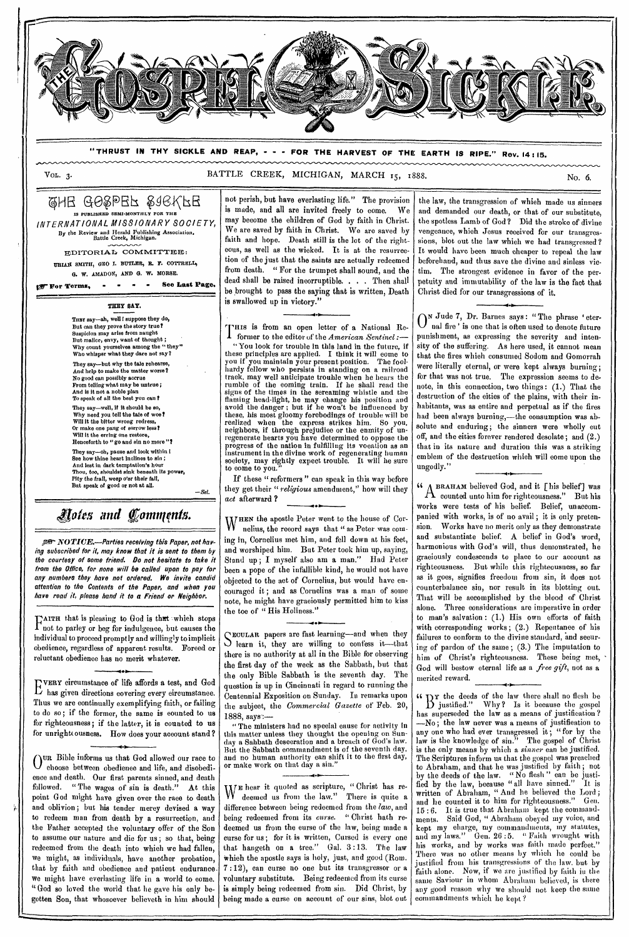

**" THRUST IN THY SICKLE AND REAP, - - - FOR THE HARVEST OF THE EARTH IS RIPE." Rev. 14 : 15.** 

#### VOL. 3. BATTLE CREEK, MICHIGAN, MARCH 15, 1888.

## CHE GOSPEF STEKFE **ISHED SEMI-MONTHLY FOR THE**

*INTERNATIONAL MISSIONARY SOCIETY,*  By the Review and Herald Publishing Association, Battle Creek, Michigan.

EDITORIAL COMMITTEE: URIAH SMITH, GHO I. BUTLER, R. F. COTTRELL, G. W. AMADON, AND G. W. MORSE.

**\$fflf"For Terms, - - . See Last Page.** 

**THEY BAY.** 

THBY say-ah, well ! suppose they do, But can they prove the story true? Suspicion may arise from naught But malice, envy, want of thought; Why count yourselves among the "they" Who whisper what they dare not say?

They say—but why the tale rehearse, And help to make the matter worse? No good can possibly accrue From telling what may be untrue ; And is it not a noble plan<br>To speak of all the best you can ' They say—well, if it should be so, Why need you tell the tale of woe? Will it the bitter wrong redress,

Or make one pang of sorrow less? Will it the erring one restore, Henceforth to " go and sin no more "? They say—oh, pause and look within I

See how thine heart inclines to sin ; And lest in dark temptation's hour Thou, too, shouldst sink beneath its power, Pity the frail, weep o'er their fall, But speak of good or not at all.

*—Set.* 

# *Rats and fonntiqnts.*

NOTICE.—Parties receiving this Paper, not having subscribed for it, may know that it is sent to them by the courtesy of some friend. Do not hesitate to take it from the Office, for none will be called upon to pay for any numbers they have not ordered. We invite candid attention to the Contents of the Paper, and when you have read it, please hand it to *a* Friend or Neighbor.

TAITH that is pleasing to God is that which stops<br>I not to parley or beg for indulgence, but eauses the not to parley or beg for indulgence, but causes the individual to proceed promptly and willingly to implicit obedience, regardless of apparent results. Foreed or reluctant obedience has no merit whatever.

E has given directions covering every circumstance. VERY circumstance of life affords a test, and God Thus we are continually exemplifying faith, or failing to do so; if the former, the same is counted to us for righteousness; if the latter, it is counted to us for unright ousness. How does your account stand?

 $\bigcap$ UR Bible informs us that God allowed our race to  $\cup$  choose between obedience and life, and disobedience and death. Our first parents sinned, and death followed. " The wages of sin is death." At this point God might have given over the race to death and oblivion; but his tender merey devised a way to redeem man from death by a resurrection, and the Father accepted the voluntary offer of the Son to assume our nature and die for us ; so that, being redeemed from the death into which we had fallen, we might, as individuals, have another probation, that by faith and obedience and patient endurance. we might have everlasting life in a world to come. "God so loved the world that he gave his only begotten Son, that whosoever believeth in him should not perish, but have everlasting life." The provision is made, and all are invited freely to come. We may become the children of God by faith in Christ. We are saved by faith in Christ. We are saved by faith and hope. Death still is the lot of the righteous, as well as the wicked. It is at the resurrection of the just that the saints are actually redeemed from death. " For the trumpet shall sound, and the dead shall be raised incorruptible. . . . Then shall be brought to pass the saying that is written, Death is swallowed up in victory."

IHIS is from an open letter of a National Re-1 former to the editor of the *American Sentinel :— "*You look for trouble in this land in the future, if these principles are applied. I think it will come to you if you maintain your present position. The foolhardy fellow who persists in standing on a railroad track, may well anticipate trouble when he hears the rumble of the coming train. If he shall read the signs of the times in the screaming whistle and the flaming head-light, he may change his position and avoid the danger ; but if he won't be influenced by these, his most gloomy forebodings of trouble will be realized when the express strikes him. So you, neighbors, if through prejudice or the enmity of unregenerate hearts you have determined to oppose the progress of the nation in fulfilling its vocation as an instrument in the divine work of regenerating human society, may rightly expect trouble. It will be sure to come to you.

If these " reformers " can speak in this way before they get their " *religious* amendment," how will they *act* afterward ?

WHEN the apostle Peter went to the house of Cor-<br>W nelius, the record says that " as Peter was comnelius, the record says that " as Peter was coming in, Cornelius met him, and fell down at his feet, and worshiped him. But Peter took him up, saying, Stand up ; I myself also am a man." Had Peter been a pope of the infallible kind, he would not have objected to the act of Cornelius, but would have encouraged it ; and as Cornelins was a man of some note, he might have graciously permitted him to kiss the toe of "His Holiness."

• SECOLAR papers are rast learning—and when they ECULAR papers are fast learning—and when they there is no authority at all in the Bible for observing the first day of the week as the Sabbath, but that the only Bible Sabbath is the seventh day. The question is up in Cincinnati in regard to running the Centennial Exposition on Sunday. In remarks upon the subject, the *Commercial Gazette* of Feb. 20, 1888, says.:—

" The ministers had no special cause for activity in this matter unless they thought the opening on Sunday a Sabbath desecration and a breach of God's law. But the Sabbath commandment is of the seventh day, and no human authority can shift it to the first day, or make work on that day

**4-** 

WE hear it quoted as scripture, "Christ has re-<br>We deemed us from the law." There is quite a deemed us from the law." There is quite a difference between being redeemed from the *law,* and being redeemed from its *curse. "* Christ hath redeemed us from the curse of the law, being made a curse for us ; for it is written, Cursed is every one that hangeth on a tree." Gal. 3 :13. The law Which the apostle says is holy, just, and good (Rom. 7 :12), can curse no one but its transgressor or a voluntary substitute. Being redeemed from its curse is simply being redeemed from sin. Did Christ, by being made a curse on account of our *sins,* blot out

the law, the transgression of which made us sinners and demanded our death, or that of our substitute, the spotless Lamb of' God? Did the stroke of divine vengeance, which Jesus received for our transgressions, blot out the law which we had transgressed ? It would have been much cheaper to repeal the law beforehand, and thus save the divine and sinless victim. The strongest evidence in favor of the perpetuity and immutability of the law is the fact that Christ died for our transgressions of it.

 $\int_{\text{real}}^{\text{N} \text{Jude 7}}$ , Dr. Barnes says: "The phrase 'eter-<br> $\int_{\text{real}}^{\text{N} \text{E}}$  is one that is often used to denote future nal fire' is one that is often used to denote future punishment, as expressing the severity and intensity of the suffering. As here used, it cannot mean that the fires which consumed Sodom and Gomorrah were literally eternal, or were kept always burning; for that was not true. The expression seems to denote, in this connection, two things : (1.) That the destruction of the cities of the plains, with their inhabitants, was as entire and perpetual as if the fires had been always burning,—the consumption was absolute and enduring; the sinners were wholly cut off, and the eities forever rendered desolate; and (2.) that in its nature and duration this was a striking emblem of the destruction which will come upon the ungodly."

**i** A BRAHAM believed God, and it [his belief] was  $A$  counted unto him for righteousness." But his works were tests of his belief. Belief; unaccompanied with works, is of no avail ; it is only pretension. Works have no merit only as they demonstrate and substantiate belief. A belief in God's word, harmonious with God's will, thus demonstrated, he graciously condescends to place to our account as righteousness. But while this righteousness, so far as it goes, signifies freedom from sin, it does not counterbalance sin, nor result in its blotting out. That will be accomplished by the blood of Christ alone. Three eonsiderations are imperative in order to man's salvation : (1.) His own efforts of faith with corresponding works; (2.) Repentance of his failures to eonform to the divine standard, and seeuring of pardon of the same ; (3.) The imputation to him of Christ's righteousness. These being met, God will bestow eternal life as a *free gift,* not as a merited reward.

**cc Dy** the deeds of the law there shall no flesh be **D** justified." Why? Is it because the gospel has superseded the law as a means of justification ? —No; the law never was a means of justification to any one who had ever transgressed it; "for by the law is the knowledge of sin." The gospel of' Christ is the only means by which a *sinner* can be justified. The Scriptures inform us that the gospel was preached to Abraham, and that he was justified by faith; not by the deeds of the law. " No flesh " can be justified by the law, because " all have sinned." It is written of Abraham, " And he believed the Lord; and he counted it to him for righteousness." Gen. 15 : 6. It is true that Abraham kept the commandments. Said God, " Abraham obeyed my voice, and kept my charge, my commandments, my statutes, and my laws." Gen. 26:5. "Faith wrought with his works, and by works was faith made perfect." There was no other means by which he could be justified from his transgressions of the law. but by faith alone. Now, if we are justified by faith in the same Saviour in whom Abraham believed, is there any good reason why we should not keep the same commandments which he kept?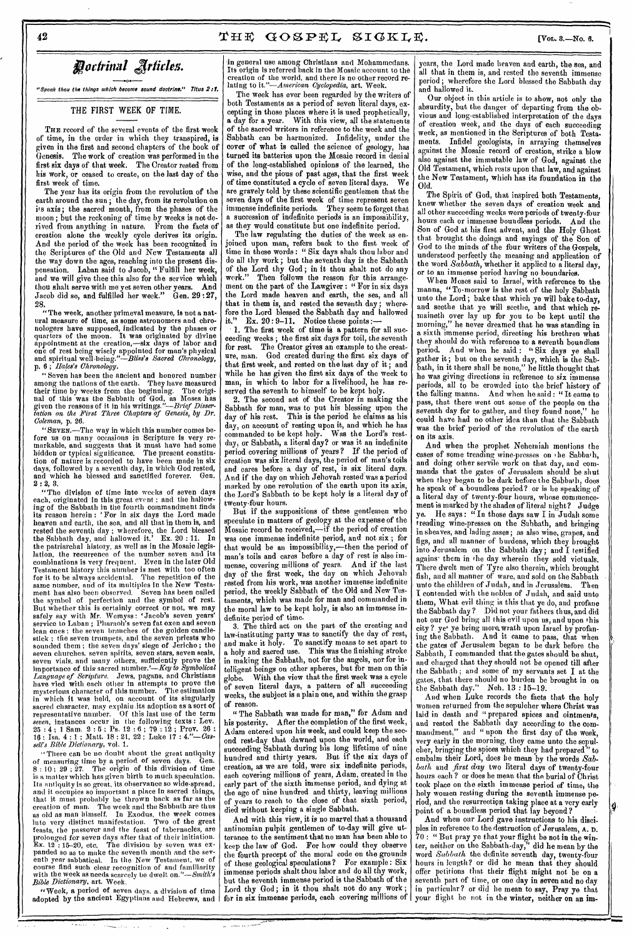*odrinal jrlides.* 

"Speak thou the things which become sound doctrine." Titus 2:1.

THE FIRST WEEK OF TIME.

THE record of the several events of the first week of time, in the order in which they transpired, is given in the first and second chapters of the book of Genesis. The work of creation was performed in the first six days of that week. The Creator rested from his work, or ceased to create, on the last day of the first week of time.

The year has its origin from the revolution of the earth around the sun; the day, from its revolution on its axis; the sacred month, from the phases of the moon; but the reckoning of time by weeks is not derived from anything in nature. From the facts of creation alone the weekly cycle derives its origin. And the period of the week has been recognized in the Scriptures of the Old and New Testaments all the way down the ages, reaching into the present dispensation. Laban said to Jacob, "Fulfill her week, and we will give thee this also for the service which thou shalt serve with me yet seven other years. And Jacob did so, and fulfilled her week." Gen. 29 :27, 28.

"The week, another primeval measure, is not a natural measure of time, as some astronomers and chronologers have supposed, indicated by the phases or quarters of the moon. It was originated by divine appointment at the creation,—six days of labor and one of rest being wisely appointed for man's physical and spiritual well-being."—Bliss'a *Sacred Chronology,*  p. 6 ; *Hales's Chronology.* 

"Seven has been the ancient and honored number among the nations of the earth. They have measured their time by weeks from the beginning. The origitheir time by weeks from the beginning. nal of this was the Sabbath of God, as Moses has given the reasons of it in his *writings."--Brief Dissertation on the First Three Chapters of Genesis, by Dr. Coleman,* p. 26.

"SEVEN.—The way in which this number comes before us on many occasions in Scripture is very remarkable, and suggests that it must have had some hidden or typical significance. The present constitution of nature is recorded to have been made in six days, followed by a seventh day, in which God rested, and which he blessed and sanctified forever. Gen.  $2: 2, 3.$ 

"The division of time into weeks of seven days each, originated in this great event ; and the hallowing of the Sabbath in the fourth commandment finds its reason herein : 'For in six days the Lord made heaven and earth, the sea, and all that in them is, and rested the seventh day ; wherefore, the Lord blessed the Sabbath day, and hallowed it,' Ex. 20 : 11. In the patriarchal history, as well as in the Mosaic legislation, the recurrence of the number seven and its combinations is very frequent. Even in the later Old Testament history this number is met with too often for it to be always accidental. The repetition of the same number, and of its multiples in the New Testament has also been observed. Seven has been called the symbol of perfection and the symbol of rest. But whether this is certainly correct or not, we may safely say with Mr. Wemyss: 'Jacob's seven years' service to Laban ; Pharaoh's seven fat oxen and seven lean ones ; the seven branches of the golden candlestick ; the seven trumpets, and the seven priests who sounded them ; the seven days' siege of Jericho ; the seven churches, seven spirits, seven stars, seven seals, seven vials, and many others, sufficiently prove the importance of this sacred number.'—Key *to Symbolical Language of Scripture.* Jews, pagans, and Christians have vied with each other in attempts to prove the mysterious character of this number. The estimation in which it was held, on account of its singularly sacred character, may explain-its adoption as a sort of representative number. Of this last use of the term *seven,* instances occur in the following texts : Lev.  $25:4$ ; 1 Sam.  $2:5$ ; Ps. 12:6; 79:12; Prov. 26: 16 ; Isa. 4 : 1 ; Matt. 18 : 21, 22 ; Luke 17 : 4."-Cas-*Bible Dictionary, vol. 1.* 

"There can be no doubt about the great antiquity of measuring time by a period of seven days. Gen. 8 : 10 ; 29 : 27. The origin of this division of time is a matter which has given birth to much speculation. Its antiquity is so great, its observance so wide-spread, and it occupies so important a place in sacred things, that it must probably be thrown back as far as the creation of man. The week and the Sabbath are thus as old as man himself. In Exodus, the week comes into very distinct manifestation. Two of the great feasts, the passover and the feast of tabernacles, are prolonged *for* seven days after that of their initiation. Ex.  $12^\circ: 15-20$ , etc. The division by seven was expanded so as to make the seventh month and the seventh year sabbatical. In the New Testament, we of course find such clear recognition of and familiarity with the week as needs scarcely be dwelt *on."—Smith's Bible Dictionary,* art. Week.

"Week, a period of seven days, a division of time adopted by the ancient Egyptians and Hebrews, and | for in six immense periods, each covering millions of

•in general use among Christians and Mohammedans. Its origin is referred back in the Mosaic account to the creation of the world, and there is no other record relating to *it."—American Cyclopedia, art.* Week.

The week has ever been regarded by the writers of both Testaments as a period of seven literal days, excepting in those places where it is used prophetically, *a* day for a year. With this view, all the statements of the sacred writers in reference to the week and the Sabbath can be harmonized. Infidelity, under the cover of what is called the science of geology, has turned its batteries upon the Mosaic record in denial of the long-established opinions of the learned, the wise, and the pious of past ages, that the first week of time constituted a cycle of seven literal days. We are gravely told by these scientific gentlemen that the seven days of the first week of time represent seven immense indefinite periods. They seem to forget that a succession of indefinite periods is an impossibility, as they would constitute but one indefinite period.

The law regulating the duties of the week as enjoined upon man, refers back to the first week of time in these words : " Six days shalt thou labor and do all thy work; but the seventh day is the Sabbath of the Lord thy God ; in it thou shalt not do any work." Then follows the reason for this arrangement on the part of the Lawgiver : " For in six days the Lord made heaven and earth, the sea, and all that *in them* is, and rested the seventh day; wherefore the Lord blessed the Sabbath day and hallowed it."  $Ex. 20:9-11.$  Notice these noints :-Ex.  $20:9-11.$  Notice these points :-

1. The first week of time is a pattern for all succeeding weeks ; the first six days for toil, the seventh for rest. The Creator gives an example to the creature, man. God created during the first six days of that first week, and rested on the last day of it; and while he has given the first six days of the week to man, in which to labor for a livelihood, he has reserved the seventh to himself to be kept holy.

2. The second act of the Creator in making the Sabbath for man, was to put his blessing upon the day of his rest. This is the period he claims as his day, on account of resting upon it, and which he has commanded to be kept holy. Was the Lord's restday, or Sabbath, a literal day? or was it an indefinite period covering millions of years? If the period of creation was six literal days, the period of' man's toils and cares before a day of rest, is six literal days. And if' the day on which Jehovah rested was a period marked by one revolution of the earth upon its axis, the Lord's Sabbath to be kept holy is a literal day of twenty-four hours.

But if the suppositions of these gentlemen who speculate in matters of geology at the expense of the Mosaic record be received,—if the period of creation was one immense indefinite period, and not six ; for that would be an impossibility,—then the period of man's toils and cares before a day of rest is also immense, covering millions of years. And if the last day of the first week, the day on which Jehovah rested from his work, was another immense indefinite period, the weekly Sabbath of the Old and New Testaments, which was made for man and commanded in the moral law to be kept holy, is also an immense indefinite period of time.

3. The third act on the part of the creating and law-instituting party was to sanctify the day of rest, and make it holy. To sanctify means to set apart to a holy and sacred use. This was the finishing stroke in making the Sabbath, not for the angels, nor for intelligent beings on other spheres, but for men on this globe. With the view that the first week was a cycle of seven literal days, a pattern of all succeeding weeks, the subject is a plain one, and within the grasp of reason.

" The Sabbath was made for man," for Adam and his posterity, After the completion of the first week, Adam entered upon his week, and could keep the second rest-day that dawned upon the world, and each succeeding Sabbath during his long lifetime of nine hundred and thirty years. But if the six days of creation, as we are told, were six indefinite periods, each covering millions of years, Adam, created in the early part of the sixth immense period, and dying at the age of nine hundred and thirty, leaving millions of years to reach to the close of that sixth period, died without keeping a single Sabbath.

And with this view, it is no marvel that *a* thousand antinomian pulpit gentlemen of to-day will give utterance to the sentiment that no man has been able to keep the law of God. For how could they observe the fourth precept of the moral code on the grounds of these geological speculations ? For example : Six immense periods shalt thou labor and do all thy work, but the seventh immense period is the Sabbath of the Lord thy God; in it thou shalt not do any work;

كالمستريد بدو بسكان المنز

years, the Lord made heaven and earth, the sea, and all that in them is, and rested the seventh immense period ; wherefore the Lord blessed the Sabbath day and hallowed it.

Our object in this article is to show, not only the absurdity, but the danger of departing from the obvious and long-established interpretation of the days of creation week, and the days of each succeeding week, as mentioned in the Scriptures of both Testaments. Infidel geologists, in arraying themselves against the Mosaic record of creation, strike a blow also against the immutable law of God, against the Old Testament, which rests upon that law, and against the New Testament, which has its foundation *in* the Old.

The Spirit of God, that inspired both Testaments. knew whether the seven days of creation week and all other succeeding weeks were periods of twenty-four hours each or immense boundless periods. And the Son of God at his first advent, and the Holy Ghost that brought the doings and sayings of the Son of God to the minds of the four writers of the Gospels, understood perfectly the meaning and application of the word *Sabbath,* whether it applied to a literal day, *or* to an immense period having no boundaries.

When Moses said to Israel, with reference to the manna, "To-morrow is the rest of the holy Sabbath unto the Lord; bake that which ye will bake to-day, and seethe that ye will seethe, and that which remaineth over lay up for you to be kept until the morning," he never dreamed that he was standing in a sixth immense period, directing his brethren what they should do with reference to *a* seventh boundless period. And when he said : "Six days ye shall gather it; but on the seventh day, which is the Sabbath, in it there shall be none," he little thought that he was giving directions in reference to six immense periods, all to be crowded into the brief history of the falling manna. And when he said : " It came to pass, that there went out some of the people on the seventh day for to gather, and they found none," he could have had no other idea than that the Sabbath was the brief period of the revolution of the earth on its axis.

And when the prophet Nehemiah mentions *the*  cases of some treading wine-presses on the Sabbath, and doing other servile work on that day, and commands that the gates of Jerusalem should be shut when they began to be dark before the Sabbath, does he speak of a boundless period? or is he speaking of a literal day of twenty-four hours, whose commencement is marked by the shades of literal night? Judge ye. He says: "In those days saw I in Judah some treading wine-presses on the Sabbath, and bringing in sheaves, and lading asses; as also wine, grapes, and figs, and all manner of burdens, which they brought into Jerusalem on the Sabbath day; and I testified agains them in the day wherein they sold victuals. There dwelt men of Tyre also therein, which brought fish, and all manner of ware, and sold on the Sabbath • unto the children of Judah, and in Jerusalem. Then I contended with the nobles of Judah, and said unto them, What evil thing is this that ye do, and profane the Sabbath day ? Did not your fathers thus, and did not our God bring all this evil upon us, and upon this city? ye' ye bring more. wrath upon Israel by profaning the Sabbath. And it came to pass, that when the gates of Jerusalem began to be dark before the Sabbath, I commanded that the gates should be shut, and charged that they should not be opened till after the Sabbath ; and some of my servants set I at the gates, that there should no burden be brought in on the Sabbath day." Neh. 13 : 15-19.

And when Luke records the facts that the holy women returned from the sepulcher where Christ was laid in death and "prepared spices and ointments, and rested the Sabbath day according to the commandment," and "upon the first day of the week, very early in the morning, they came unto the sepulcher, bringing the spices which they had prepared " to embalm their Lord, does he mean by the *bath* and *first* day two literal days of twenty-four hours each ? or does he mean that the burial of Christ took place on the sixth immense period of time, the holy women resting during the seventh immense period, and the resurrection taking place at a very early point of a boundless period that lay beyond?

And when our Lord gave instructions to his disciples in reference to the destruction of Jerusalem, A. D.  $70:$  " But pray ye that your flight be not in the winter, neither on the Sabbath-day," did he mean by the word *Sabbath* the definite seventh day, twenty-four hours in length? or did he mean that they should offer petitions that their flight might not be on a seventh part of time, or one day in seven and no day in particular ? or did he mean to say, Pray ye that your flight he not in the winter, neither on *an im-*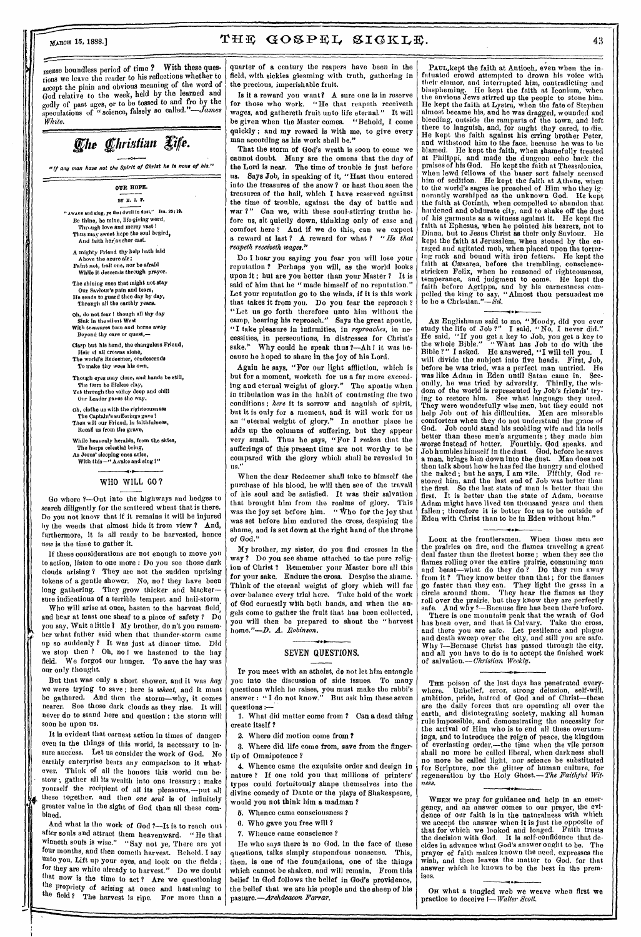mense boundless period of time ? With these questions we leave the reader to his reflections whether to accept the plain and obvious meaning of the word of God relative to the week, held by the learned and godly of past ages, or to be tossed to and fro by the speculations of " science, falsely so called."-James *White.* 

# The Christian Life.

 $\bullet$ *"*if any man have not the Spirit of Christ he la none of his."

> OUR HOPE. BY 11. 1. **r.**  " Awaxu and sing, ye that dwell in dust," Isa. 26:19. Be thine, be mine, life-giving word, Through love and mercy vast ! Thus may sweet hope the soul begird, And faith lief:anchor cast.

A mighty Friend thy help bath laid Above the azure air; Faint nut, frail one, nor be afraid While it descends through prayer.

The shining ones that might not stay Our Saviour's pain and tears, He sends to guard thee day by day, Through all the earthly years.

Oh, do not fear ! though all thy day Sink in the silent West With treasures torn and borne away Beyond thy care or quest,—

Clasp but his hand, the changeless Friend, Heir of all crowns alone,

The world's Redeemer, condescends To make thy woes his own.

Though eyes may close, and hands be still, The form be lifeless clay, Yet through the valley deep and chill Our Leader paves the way.

Oh, clothe us with the righteousness The Captain's sufferings gave! Then will our Friend, in faithfulness, Recall us from the grave,

While heavenly heralds, from the skies, The harps celestial bring, As Jesus' sleeping ones arise, With this-" A vake and sing !"

### **•0.**

#### WHO WILL GO?

Go where ?—Out into the highways and hedges to search diligently for the scattered wheat that is there. Do you not know that if it remains it will be injured by the weeds that almost hide it from view ? And, furthermore, it is all ready to be harvested, hence *now* is the time to gather it.

If these considerations are not enough to move you to action, listen to one more : Do you see those dark clouds arising ? They are not the sudden uprising tokens of a gentle shower. No, no ! they have been long gathering. They grow thicker and blacker sure indications of a terrible tempest and hail-storm

Who will arise at once, hasten to the harvest field, and bear at least one sheaf to a place of safety ? Do you say, Wait a little ? My brother, do n't you remember what father said when that thunder-storm came up so suddenly ? It was just at dinner time. Did we stop then ? Oh, no I we hastened to the hay field. We forgot our hunger. To save the hay was our only thought.

But that was only a short shower, and it was *hay*  we were trying to save ; here is *wheat,* and it must be gathered. And then the storm—why, it comes nearer. See those dark clouds as they rise. It will never do to stand here and question; the storm will soon be upon us.

It is evident that earnest action in times of dangers even in the things of this world, is necessary to insure success. Let us consider the work of God. No earthly enterprise bears any comparison to it whatever. Think of all the honors this world can bestow ; gather all its wealth into one treasury ; make yourself the recipient of all its pleasures,—put all *<sup>4</sup>*these together, and then *one soul is* of infinitely greater value in the sight of God than all these combined.

And what is the work of God ?—It is to reach out after souls and attract them heavenward. "He that winneth souls is wise." "Say not ye, There are yet four months, and then cometh harvest. Behold. I say unto you, Lift up your eyes, and look on the fields ; for they are white already to harvest." Do we doubt that now is the time to act? Are we questioning the propriety of arising at once and hastening to the field? The harvest is ripe. For more than a

quarter of a century the reapers have been in the field, with sickles gleaming with truth, gathering in the precious, imperishable fruit.

Is it a reward you want? A sure one is in reserve for those who work. "He that reapeth receiveth wages, and gathereth fruit unto life eternal." It will be given when the Master comes. "Behold, I come quickly ; and my reward is with me, to give every man according as his work shall be."

That the storm of God's wrath is soon to come we cannot doubt. Many are the omens that the day of the Lord is near. The time of trouble is just before us. Says Job, in speaking of it, "Hest thou entered into the treasures of the snow ? or hast thou seen the treasures of the hail, which I have reserved against the time of trouble, against the day of battle and war ?" Can we, with these soul-stirring truths before us, sit quietly down, thinking only of ease and comfort here ? And if we do this, can we expect a reward at last ? A reward for what ? *"He that reapeth receiveth wages."* 

Do I hear you saying you fear you will lose your reputation ? Perhaps you will, as the world looks upon it ; but are you better than your Master ? It is said of him that he "made himself of no reputation." Let your reputation go to the winds, if it is this work that takes it from you. Do you fear the reproach ? "Let us go forth therefore unto him without the camp, bearing his reproach." Says the great apostle, "I take pleasure in infirmities, in *reproaches,* in necessities, in persecutions, in distresses for Christ's sake." Why could he speak thus ?- All ! it was because he hoped to share in the joy of his Lord.

Again he says, "For our light affliction, which is but for a moment, worketh for us a far more exceeding and eternal weight of glory." The apostle when in tribulation was in the habit of contrasting the two conditions ; *here it* is sorrow and anguish of spirit, but it is only for a moment, and it will work for us an "eternal weight of glory." In another place be adds up the columns of suffering, but they appear very small. Thus he says, "For I *reckon* that the sufferings of this present time are not worthy to be compared with the glory which shall *be* revealed in us."

When the dear Redeemer shall take to himself the purchase of his blood, he will then see of the travail of his soul and be satisfied. It was their salvation that brought him from the realms of glory. This was the joy set before him. " Who for the joy that was set before him endured the cross, despising the shame, and is set down at the right hand of the throne of God."

My brother, my sister, do you find crosses in the way ? Do you see shame attached to the pure religion of Christ ? Remember your Master bore all this for your sake. Endure the cross. Despise the shame. Think of the eternal weight of glory which will far over-balance every trial here. Take hold of the work of God earnestly with both hands, and when the angels come to gather the fruit that has been collected, you will then be prepared to shout the "harvest home."-D. A. Robinson.

#### SEVEN QUESTIONS.

IF you meet with an atheist, do not let him entangle you into the discussion of side issues. To many questions which he raises, you must make the rabbi's answer : " I do not know." But ask him these seven questions :-

1. What did matter come from ? Can a dead thing create itself ?

2. Where did motion come from ?

3. Where did life come from, save from the fingertip of Omnipotence ?

4. Whence came the exquisite order and design in nature ? If one told you that millions of printers' types could fortuitously shape themselves into the divine comedy of Dante or the plays of Shakespeare, would you not think him a madman ?

5. Whence came consciousness ?

6. Who gave you free will ?

7. Whence came conscience ?

He who says there is no God, in the face of these questions, talks simply stupendous nonsense. This, then, is one of the foundations, one of the things which cannot be shaken, and will remain. From this belief in God follows the belief in God's providence, the belief that *we* are his people and *the* sheep of his *pasture.—Archdeacon Farrar.* 

PAUL.kept the faith at Antioch, even when the infatuated crowd attempted to drown his voice with their clamor, and interrupted him, contradicting and blaspheming. He kept the faith at Iconium, when the envious Jews stirred up the people to stone him. He kept the faith at Lystra, when the fate of Stephen almost became his, and he was dragged, wounded and bleeding, outside the ramparts of the town, and left there to languish, and, for aught they cared, to die. He kept the faith against his erring brother Peter, and withstood him to the face, because he was to be blamed. Ile kept the faith, when shamefully treated at Philippi, and made the dungeon echo back the praises of his God. He kept the faith at Thessalonica, when lewd fellows of the baser sort falsely accused him of sedition. He kept the faith at Athens, when to the world's sages he preached of Him who they ignorantly worshiped as the unknown God. He kept the faith at Corinth, when compelled to abandon that hardened and obdurate city, and to shake off the dust of his garments as a witness against it. He kept the faith at Ephesus, when he pointed his hearers, not to Diana, but to Jesus Christ as their only Saviour. He kept the faith at Jerusalem, when stoned by the enraged and agitated mob, when placed upon the torturing rack and bound with iron fetters. He kept the faith at Cæsarea, before the trembling, consciencestricken Felix, when he reasoned of righteousness, temperance, and judgment to come. He kept the faith before Agrippa, and by his earnestness compelled the king to *say,* "Almost thou persuadest me to be a Christian."— $\mathit{Sel.}$ 

AN Englishman said to me, "Moody, did you ever study the life of Job ?" I said, "No, I never did." He said, "If you get a key to Job, you get a key to the whole Bible." "What has Job to do with the Bible ?" I asked. He answered, "I will tell you. I will divide the subject into five heads. First, Job, before he was tried, was a perfect man untried. He was like Adam in Eden until Satan came in. Secondly, he was tried by adversity. Thirdly, the wisdom of the world is represented by Job's friends' trying to restore him. See what language they used. They were wonderfully wise men, but they could not help Job out of his difficulties. Men are miserable comforters when they do not understand the grace of God. Job could stand his scolding wife and his boils better than these men's arguments ; they made him -worse instead of better. Fourthly. God speaks, and Job humbles himself in the dust. God, before he saves a man, brings him down into the dust. Man does not then talk about how he has fed the hungry and clothed the naked ; but he says, I am vile. Fifthly, God restored him, and the last end of Job was better than the first. So the last state of man is better than the first. It is better than the state of Adam, because Adam might have lived ten thousand years and then fallen; therefore it is better for us to be outside of Eden with Christ than to be in Eden without him."

LOOK at the frontiersmen. When those men see the prairies on fire, and the flames traveling a great deal faster than the fleetest horse ; when they see the flames rolling over the entire prairie, consuming man and beast—what do they do? Do they run away from it ? They know better than that ; for the flames go faster than they can. They light the grass in a circle around them. They hear the flames as they roll over the prairie, but they know they are perfectly safe. And why ?—Because fire has been there before.

There is one mountain peak that the wrath of God has been over, and that is Calvary. Take the cross, and there you are safe. Let pestilence and plague and death sweep over the city, and still you are safe, Why ?—Because Christ has passed through the city, and all you have to do is to accept the finished work of salvation.—Christian *Weekly.* 

THE poison of the last days has penetrated every-<br>where. Unbelief, error, strong delusion, self-will, Unbelief, error, strong delusion, self-will, ambition, pride, hatred of God and of Christ—these are the daily forces that are operating all over the earth, and disintegrating society, making all human rule impossible, and demonstrating the necessity for the arrival of Him who is to end all these overturnings, and to introduce the reign of peace, the kingdom of everlasting order,—the time when the vile person shall no more be called liberal, when darkness shall no more be called light, nor science be substituted for Scripture, nor the glitter of human culture, for regeneration by the Holy Ghost.—The *Faithful Witness.* 

*WHEN* we pray for guidance and help in an emergency, and an answer comes to our prayer, the evidence of our faith is in the naturalness with which we accept the answer when it is just the opposite of that for which we looked and longed. Faith trusts the decision with God. It is self-confidence that decides in advance what God's answer ought to be. The prayer of faith makes known the need, expresses the wish, and then leaves the matter to God, for that answer which he knows to be the best in the premises.

• OH what a tangled web we weave when first we practice to deceive *I*-Walter Scott.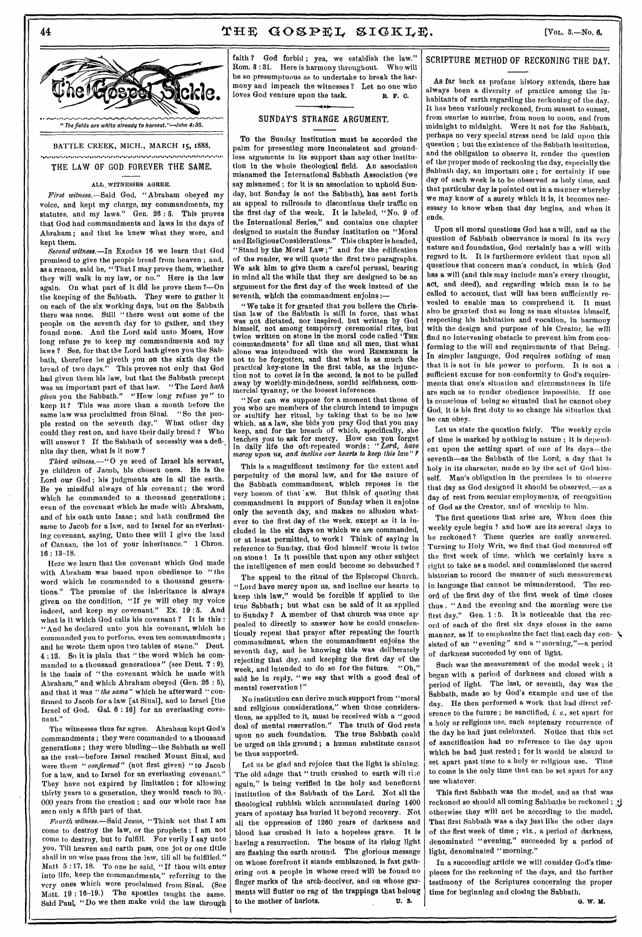#### **44 19. 19. 19. 19. 19. 19. 19. 19. 19. 19. 19. 19. 19. 19. 19. 19. 19. 19. 19. 19. 19. 19. 19. 19. 19. 19. 19. 19. 19. 19. 19. 19. 19. 19. 19. 19.**

BATTLE CREEK, MICH., MARCH 15, 1888.

munungnananan kesänynyin kesänän yhtyesenän yhdyssänän yhdysvanan yhyn kesänän yhdysvänän yhdysvä THE LAW OF GOD FOREVER THE SAME.

#### ALL, WITNESSES AGREE.

*First witness.—Said* God, "Abraham obeyed my voice, and kept my charge, my commandments, my statutes, and my laws." Gen. 26:5. This proves that God had commandments and laws in the days of Abraham ; and that he knew what they were, and kept them.

*Second witness.—In* Exodus 16 we learn that God promised to give the people bread from heaven ; and, as a reason, said he, "That I may prove them, whether they will walk in my law, or no." Here is the law again. On what part of it did lie prove them ?—On the keeping of the Sabbath. They were to gather it on each of the six working days, but on the Sabbath there was none. Still " there went out some of the people on the seventh day for to gather, and they found none. And the Lord said unto Moses, How long refuse ye to keep my commandments and my laws ? See, for that the Lord hath given you the Sabbath, therefore he giveth you on the sixth day the bread of two days." This proves not only that God had given them his law, but that the Sabbath precept was an important part of that law. "The Lord *hath given* you the Sabbath." "How long refuse ye" to keep it ? This was more than a month before the same law was proclaimed from Sinai. " So the people rested on the seventh day." What other day could they rest on, and have their daily bread ? Who will answer? If the Sabbath of necessity was a definite day then, what is it now ?

*Third witness.—"* 0 ye seed of Israel his servant, ye children of Jacob, his chosen ones. He is the Lord our God; his judgments are in all the earth. Be ye mindful always of his covenant; the word which he commanded to a thousand generations. even of the covenant which he made with Abraham, and of his oath unto Isaac ; and hath confirmed the same to Jacob for a law, and to Israel for an everlasting covenant, saying, Unto thee will I give the land of Canaan, the lot of your inheritance." 1 Chron. 16 : 13-18.

Here we learn that the covenant which God made with Abraham was based upon obedience to "the word which he commanded to a thousand generations." The promise of the inheritance is always given on the condition, "If ye will obey my voice indeed, and keep my covenant." Ex. 19 :5. And what is it which God calls his covenant ? It is this : "And he declared unto you his covenant, which he commanded you to perform, even ten commandments ; and he wrote them upon two tables of stone." Deut. 4 : 13. So it is plain that " the word which he commanded to a thousand generations" (see Deut. 7 : 9), is the basis of "the covenant which he made with Abraham," and which Abraham obeyed (Gen. 28 : 5), and that it was *"the same"* which he afterward " confirmed to Jacob for a law [at Sinai], and to Israel [the Israel of God. Gal. 6 : 16] for an everlasting covenant."

The witnesses thus far agree. Abraham kept God's commandments ; they were commanded to a thousand generations ; they were binding—the Sabbath as well as the rest-before Israel reached Mount Sinai, and were there *"confirmed"* (not first given) " to Jacob for a law, and to Israel for an everlasting covenant." They have not expired by limitation ; for allowing thirty years to a generation, they would reach to 30,- 000 years from the creation ; and our whole race has seen only a fifth part of that.

*Fourth witness.—Said* Jesus, "Think not that I am come to destroy the law, or the prophets ; I am not come to destroy, but to fulfill. For verily I say unto you, Till heaven and earth pass, one jot or one tittle shall in no wise pass from the law, till all be fulfilled." Matt 5 : 17, 18. To one he said, "If thou wilt enter into life, keep the commandments," referring to the very ones which were proclaimed from Sinai. (See Matt. 19 : 16-19.) The apostles taught the same. Said Paul, "Do we then make void the law through

faith ? God forbid; yea, we establish the law." Rom. 3 : 31. Here is harmony throughout. Who will be so presumptuous as to undertake to break the harmony and impeach the witnesses 2 Let no one who loves God venture upon the task. **R. F. 0.** 

#### SUNDAY'S STRANGE ARGUMENT.

To the Sunday institution must be accorded the palm for presenting more inconsistent and groundless arguments in its support than any other institution in the whole theological field. An association misnamed the International Sabbath Association (we say misnamed ; for it is an association to uphold Sunday, but. Sunday is not the Sabbath), has sent forth au appeal to railroads to discontinue their traffic on the first day of the week. It is labeled, "No. 9 of the International Series," and contains one chapter designed to sustain the Sunday institution on "Moral and Religious Considerations." This chapter is headed, "Stand by the Moral Law;" and for the edification of the reader, we will quote the first two paragraphs. We ask him to give them a careful perusal, bearing in mind all the while that they are designed to be an argument for the first day of the week instead of the seventh, which the commandment enjoins:

"We take it for granted that you believe the Christian law of the Sabbath is still in force, that what was not dictated, nor inspired, but written by God himself, not among temporary ceremonial rites, but twice written on stone in the moral code called 'THE commandments' for all time and all men, that what alone was introduced with the word REMEMBER is not to *be* forgotten, and that what is as much the practical key-stone in the first table, as the injunction not to covet is in the second, is not to be pulled away by worldly-mindedness, sordid selfishness, commercial tyranny, or the loosest inferences.

"Nor can we suppose for a moment that those of you who are members of the church intend to impugn or stultify her ritual, by taking that to be no law which, as a law, she bids you pray God that you may keep, and for the breach of which, specifically, she teaches you to ask for mercy. How can you forget in daily life the oft-repeated words: *"Lord, have mercy upon us, and incline our hearts to keep this law" ?* 

This is a magnificent testimony for the extent and perpetuity of the moral law, and for the nature of the Sabbath commandment, which reposes in the very bosom of that aw. But think of quoting that commandment in support of Sunday when it enjoins only the seventh day, and makes no allusion whatever to the first day of the week, except as it is included in the six days on which we are commanded, or at least permitted, to work I Think of saying in reference to Sunday, that God himself wrote it twice on stone I Is it possible that upon any other subject the intelligence of men could become so debauched ?

The appeal to the ritual of the Episcopal Church, "Lord have mercy upon us, and incline our hearts to keep this law," would be forcible if applied to the true Sabbath; but what can be said of it as applied to Sunday ? A member of that church was once appealed to directly to answer how he could conscientiously repeat that prayer after repeating the fourth commandment, when the commandment enjoins the seventh day, and he knowing this was deliberately rejecting that day, and keeping the first day of the week, and intended to do so for the future. "Oh," said he in reply, "we say that with a good deal of mental reservation !"

No institution can derive much support from "moral and religious considerations," when those considerations, as applied to it, must be received with a "good deal of mental reservation." The truth of God rests upon no such foundation. The true Sabbath could be urged on this ground ; *a* human substitute cannot be thus supported.

Let us be glad and rejoice that the light is shining. The old adage that " truth crushed to earth will rise again," is being verified in the holy and beneficent institution of the Sabbath of the Lord. Not all the theological rubbish which accumulated during 1400 years of apostasy has buried it beyond recovery. Not all the oppression of 1260 years of darkness and blood has crushed it into a hopeless grave. It is having *a* resurrection. The beams of its rising light are flashing the earth around. The glorious message on whose forefront it stands emblazoned, is fast gathering out a people in whose creed will be found no finger marks of the arch-deceiver, and on whose garments will flutter no rag of the trappings that belong to the mother of harlots.  $\qquad \qquad \mathfrak{v}.$  3.

#### SCRIPTURE METHOD OF RECKONING THE DAY.

As far back as profane history extends, there has always been a diversity of practice among the inhabitants of earth regarding the reckoning of the day. It has been variously reckoned, from sunset to sunset, from sunrise to sunrise, from noon to noon, and from midnight to midnight. Were it not for the Sabbath, perhaps no very special stress need be laid upon this question ; but the existence of the Sabbath institution, and the obligation to observe it, render the question of the proper mode of reckoning the day, especially the Sabbath day, an important one ; for certainly if one day of each week is to be observed as holy time, and that particular day is pointed out in a manner whereby we may know of *a* surety which it is, it becomes necessary to know when that day begins, and when it ends.

Upon all moral questions God has a will, and as the question of Sabbath observance is moral in its very nature and foundation, God certainly has a will with regard to it. It is furthermore evident that upon all questions that concern man's conduct, in which God has *a* will (and this may include man's every thought, act, and deed), and regarding which man is to be called to account, that will has been sufficiently revealed to enable man to comprehend it. It must also be granted that so long as man situates himself, respecting his habitation and vocation, in harmony with the design and purpose of his Creator, he will find no intervening obstacle to prevent him from conforming to the will and requirements of that Being. In simpler language, God requires nothing of man that it is not in his power to perform. It is not a sufficient excuse for non-conformity to God's requirements that one's situation and circumstances in life are such as to render obedience impossible. If one is conscious of being so situated that he cannot obey God, it is his first duty to so change his situation that he can obey.

Let us state the question fairly. The weekly cycle of time is marked by nothing in nature ; it is depend. ent upon the setting apart of one of its days—the seventh—as the Sabbath of the Lord, a day that is holy in its character, made so by the act of God himself. Man's obligation in the premises is to observe that day as God designed it should be observed,—as a day of rest from secular employments, of recognition of God as the Creator, and of worship to him.

The first questions that arise are, When does this weekly cycle begin ? and how are its several days to be reckoned? These queries are easily answered. Turning to Holy Writ, we find that God measured off the first week of time, which we certainly have a right to take as a model, and commissioned the sacred historian to record the manner of such measurement in language that cannot be misunderstood. The record of the first day of the first week of time closes thus . " And the evening and the morning were the first day." Gen. 1:5. It is noticeable that the record of each of the first six days closes in the same manner, as if to emphasize the fact that each day con-  $\blacktriangledown$ sisted of an "evening" and a " morning,"—a period of darkness succeeded by one of light.

Such was the measurement of the model week ; it began with a period of darkness and closed with a period of light. The last, or seventh, day was the Sabbath, made so by God's example and use of the day. He then performed a work that had direct reference to the future ; he sanctified, *i. e.,* set apart for a holy or religious use, each septenary recurrence of the day he had just celebrated. Notice that this act of sanctification had no reference to the day upon which he bad just rested ; for it would be absurd to set apart past time to a holy or religious use. Time to come is the only time that can be set apart for any use whatever.

This first Sabbath was the model, and as that was reckoned so should all coming Sabbaths be reckoned ; , $\mathbf{y}$ otherwise they will not be according to the model. That first Sabbath was a day just like the other days of the first week of time ; viz., a period of darkness, denominated "evening," succeeded by *a* period of light, denominated "morning."

In a succeeding article we will consider God's timepieces for the reckoning of the days, and the further testimony of the Scriptures concerning the proper time for beginning and closing the Sabbath.

**G. W. M.** 

.<br>ال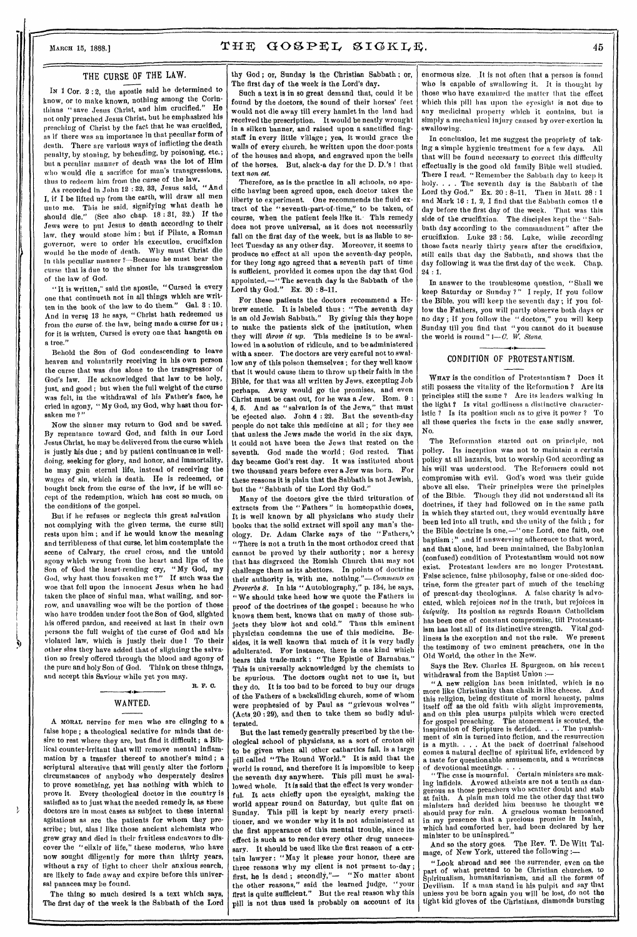#### THE CURSE OF THE LAW.

In 1 Cor. 2 : 2, the apostle said he determined to know, or to make known, nothing among the Corinthians "save Jesus Christ, and him crucified." He not only preached Jesus Christ, but he emphasized his preaching of Christ by the fact that he was crucified, as if there was an importance in that peculiar form of death. There are various ways of inflicting the death penalty, by stoning, by beheading, by poisoning, etc.; but a peculiar manner of death was the lot of Him who would die a sacrifice for man's transgressions. thus to redeem him from the curse of the law.

As recorded in John 12 : 32, 33, Jesus said, "And L if I be lifted up from the earth, will draw all men unto me. This he said, signifying what death he should die." (See also chap. 18 : 31, 32.) If the Jews were to put Jesus to death according to their law. they would stone him ; but if Pilate, a Roman governor, were to order his execution, crucifixion would be the mode of death. Why must Christ die in this peculiar manner?—Because he must bear the curse that is due to the sinner for his transgression of the law of God.

"It is written," said the apostle, "Cursed is every one that continueth not in all things which are written in the book of the law to do them." Gal. 3 : 10. And in verse 13 he says, "Christ hath redeemed us from the curse of the law, being made a curse for us; for it is written, Cursed is every one that hangeth on a tree."

Behold the Son of God condescending to leave heaven and voluntarily receiving in his own person the curse that was due alone to the transgressor of God's law. He acknowledged that law to be holy, just, and good; but when the full weight of the curse was felt, in the withdrawal of his Father's face, he cried in agony, " My God, my God, why hest thou forsaken me?'

Now the sinner may return to God and be saved. By repentance toward God, and faith in our Lord Jesus Christ, he may be delivered from the curse which is justly his due ; and by patient continuance in welldoing, seeking for glory, and honor, and immortality, he may gain eternal life, instead of receiving the wages of sin, which is death. He is redeemed, or bought back from the curse of the law, if he will accept of the redemption, which has cost so much, on the conditions of the gospel.

But if he refuses or neglects this great salvation not complying with the given terms, the curse still rests upon him ; and if he would know the meaning and terribleness of that curse, let him contemplate the scene of Calvary, the cruel cross, and the untold agony which wrung from the heart and lips of the Son of God the heart-rending cry, " My God, my God, why hest thou forsaken me ?" If such was the woe that fell upon the innocent Jesus when he had taken the place of sinful man, what wailing, and sorrow, and unavailing woe will be the portion of those who have trodden under foot the Son of God, slighted his offered pardon, and received at last in their own persons the full weight of the curse of God and his violated law, which is justly their due 1 To their other *sins* they have added that of slighting the salvation so freely offered through the blood and agony of the pure and holy Son of God. Think on these things, and accept this Saviour while yet you may.

## WANTED.

R. F. 0.

A MORAL nervine for men who are clinging to a false hope ; a theological sedative for minds that desire to rest where they are, but find it difficult ; a Biblical counter-irritant that will remove mental inflammation by a transfer thereof to another's mind ; a scriptural alterative that will gently alter the forlorn circumstances of anybody who desperately desires to prove something, yet has nothing with which to prove it. Every theological doctor in the country is satisfied as to just what the needed remedy is, as these doctors are in most cases as subject to these internal agitations as are the patients for whom they prescribe; but, alas ! like those ancient alchemists who grew gray and died in their fruitless endeavors to discover the " elixir of life," these moderns, who have now sought diligently for more than thirty years, without a ray of light to cheer their anxious search, are likely to fade away and expire before this universal panacea may be found.

 $\frac{1}{2}$ 

The thing so much desired is a text which says, The first day of the week is the Sabbath of the Lord

thy God ; or, Sunday is the Christian Sabbath ; or, The first day of the week is the Lord's day.

Such a text is in so great demand that, could it be found by the doctors, the sound of their horses' feet would not die away till every hamlet in the land had received the prescription. It would be neatly wrought in a silken banner, and raised upon a sanctified flagstaff in every little village ; yea, it would grace the walls of every church, be written upon the door-posts of the houses and shops, and engraved upon the bells of the horses. But, alack-a day for the D. D.'s I that text *non. est.* 

Therefore, as is the practice in all schools, no specific having been agreed upon, each doctor takes the liberty to experiment. One recommends the fluid extract of the "seventh-part-of-time," to be taken, of course, when the patient feels like it. This remedy does not prove universal, as it does not necessarily fall on the first day of the week, but is as liable to select Tuesday as any other day. Moreover, it seems to produce no effect at all upon the seventh-day people, for they long ago agreed that a seventh part of time is sufficient, provided it comes upon the day that God appointed,—"The seventh day is the Sabbath of the Lord thy God." Ex. 20:8-11.

For these patients the doctors recommend a Hebrew emetic. It is labeled thus : "The seventh day is an old Jewish Sabbath." By giving this they hope to make the patients sick of the institution, when they will *throw it up.* This medicine is to be swallowed in a solution of ridicule, and to be administered with a sneer. The doctors are very careful not to swallow any of this poison themselves ; for they well know that it would cause them to throw up their faith in the Bible, for that was all written by Jews, excepting Job perhaps. Away would go the promises, and even Christ must be cast out, for he was a Jew. Rom. 9 : 4, 5. And as "salvation is of the Jews," that must be ejected also. John 4 : 22. But the seventh-day people do not take this medicine at all ; for they see that unless the Jews made the world in the six days, it could not have been the Jews that rested on the seventh. God made the world ; God rested. That day became God's rest day. It was instituted about two thousand years before ever a Jew was born. For these reasons it is plain that the Sabbath is not Jewish, but the "Sabbath of the Lord thy God."

Many of the doctors give the third trituration of extracts from the "Fathers" in homeopathic doses. It is well known by all physicians who study their books that the solid extract will spoil any man's theology. Dr. Adam Clarke says of the " Fathers," "There is not a truth in the most orthodox creed that cannot be proved by their authority ; nor a heresy that has disgraced the Romish Church that may not challenge them as its abettors. In points of doctrine their authority is, with me, nothing."—Comments *on Proverbs 8.* In his " Autobiography," p. 134, he says, "We should take heed how we quote the Fathers in proof of the doctrines of the gospel ; because he who knows them best, knows that on many of those subjects they blow hot and cold." Thus this eminent physician condemns the use of this medicine. Besides, it is well known that much of it is very badly adulterated. For instance, there is one kind which bears this trade-mark : "The Epistle of Barnabas." This is universally acknowledged by the chemists to be spurious. The doctors ought not to use it, but they do. It is too bad to be forced to buy our drugs of the Fathers of a backsliding church, some of whom were prophesied of by Paul as "grievous wolves" (Acts 20 :29), and then to take them so badly adulterated.

But the last remedy generally prescribed by the theological school of physicians, as a sort of croton oil to be given when all other cathartics fail, is a large pill called "The Round World." It is said that the world is round, and therefore it is impossible to keep the seventh day anywhere. This pill must be swallowed whole. It is said that the effect is very wonderful. It acts chiefly upon the eyesight, making the world appear round on Saturday, but quite flat on Sunday. This pill is kept-by nearly every practitioner, and we wonder why it is not administered at the first appearance of this mental trouble, since its effect is such as to render every other drug unnecessary. It should be used like the first reason of a certain lawyer : "May it please your honor, there are three reasons why my client is not present to-day ; first, he is dead ; secondly,"- "No matter about the other reasons," said the learned judge, "your first is quite sufficient." But the real reason why this pill is not thus used is probably on account of its

enormous size. ,It is not often that a person is found who is capable of swallowing it. It is thought by those who have examined the matter that the effect which this pill has upon the eyesight is not due to any medicinal property which it contains, but is simply a mechanical injury caused by over-exertion in swallowing.

In conclusion, let me suggest the propriety of taking a simple hygienic treatment for a few days. All that will be found necessary to correct this difficulty effectually is the good old family Bible well studied. There I read, "Remember the Sabbath day to keep it holy. . . . The seventh day is the Sabbath of the Lord thy God." Ex.  $20:8-11$ . Then in Matt.  $28:1$ and Mark 16 : 1, 2, I find that the Sabbath comes tl e day before the first day of the week. That was this side of the crucifixion. The disciples kept the " Sabbath day according to the commandment" after the crucifixion. Luke 23 : 56. Luke, while recording those facts nearly thirty years after the crucifixion, still calls that day the Sabbath, and shows that the day following it was the first day of the week. Chap. 24 : 1.

In answer to the troublesome question, "Shall we keep Saturday or Sunday ?" I reply, If you follow the Bible, you will keep the seventh day; if you follow the Fathers, you will partly observe both days or no day ; if you follow the " doctors," you will keep Sunday till you find that "you cannot do it because the world is round " $-$ *C.* W. Stone.  *•* 

#### CONDITION OF PROTESTANTISM.

WHAT is the condition of Protestantism ? Does it still possess the vitality of the Reformation ? Are its principles still the same ? Are its leaders walking in the light ? Is vital godliness a distinctive characteristic ? Is its position such as to give it power ? To all these queries the facts in the case sadly answer, No.

The Reformation started out on principle, not policy. Its inception was not to maintain a certain policy at all hazards, but to worship God according as his will was understood. The Reformers could not compromise with evil. God's word was their guide above all else. Their principles were the principles of the Bible. Though they did not understand all its doctrines, if they had followed on in the same path in which they started out, they would eventually have been led into all truth, and the unity of the faith ; for the Bible doctrine is one,-" one Lord, one faith, one baptism ;" and if unswerving adherence to that word, and that alone, had been maintained, the Babylonian (confused) condition of Protestantism would not now exist. Protestant leaders are no longer Protestant. False science, false philosophy, false or one-sided doctrine, form the greater part of much of the teaching of present-day theologians. A false charity is advocated, which rejoices *not* in the truth, but rejoices in *iniquity.* Its position as regards Roman Catholicism has been one of constant compromise, till Protestantism has lost all of its distinctive strength. Vital godliness is the exception and not the rule. We present the testimony of two eminent preachers, one in the Old World, the other in the New.

Says the Rev. Charles H. Spurgeon, on his recent withdrawal from the Baptist Union

"A new religion has been initiated, which is no more like Christianity than chalk is like cheese. And this religion, being destitute of moral honesty, palms itself off as the old faith with slight improvements, and on this plea usurps pulpits which were erected for gospel preaching. The atonement is scouted, the inspiration of Scripture is derided. . . . The punishment of sin is turned into fiction, and the resurrection is a myth. . . . At the back of doctrinal falsehood comes a natural decline of spiritual life, evidenced by a taste for questionable amusements, and a weariness of devotional meetings.

"The case is mournful. Certain ministers are making infidels. Avowed atheists are not a tenth as dangerous as those preachers who scatter doubt and stab at faith. A plain man told me the other day that two ministers had derided him because he thought we should pray for rain. A gracious woman bemoaned in my presence that a precious promise in Isaiah, which had comforted her, had been declared by her minister to be uninspired."

And so the story goes. The Rev. T. De Witt Talmage, of New York, uttered the following

"Look abroad and see the surrender, even on the part of what pretend to be Christian churches, to Spiritualism, humanitarianism, and all the forms of Devilism. If a man stand in his pulpit and say that unless you he born again you will be lost, do not the tight kid gloves of the Christians, diamonds bursting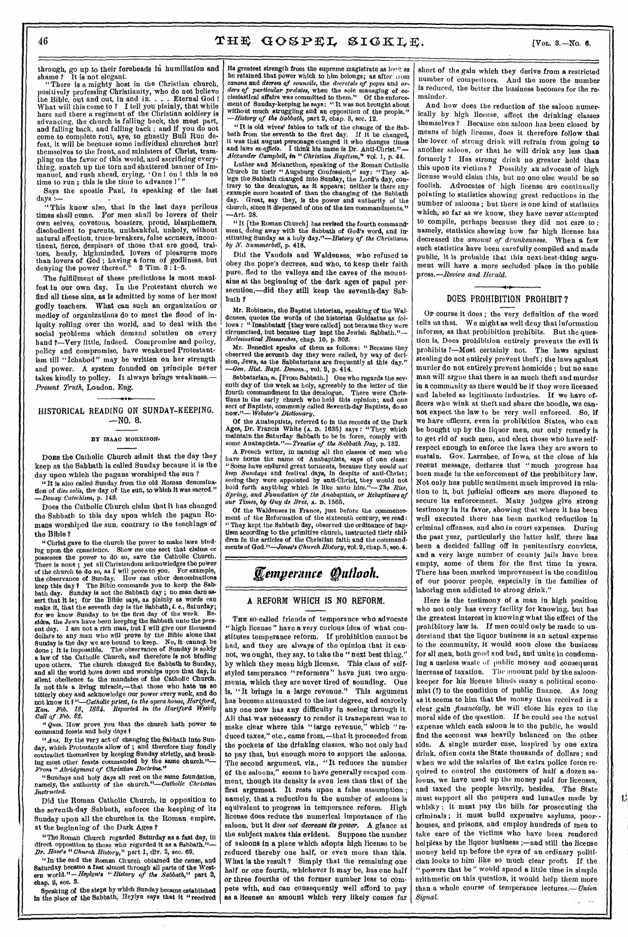through, go up to their foreheads in humiliation and shame? It is not elegant.

"There is a mighty host in the Christian church, positively professing Christianity, who do not believe the Bible, out and out, in and in. . . . Eternal God ! What will this come to ? I tell you plainly, that while here and there a regiment of the Christian soldiery is advancing, the church is falling back, the most part, and falling back, and falling back ; and if you do not come to complete rout, aye, to ghastly Bull Run defeat, it will be because some individual churches hurl themselves to the front, and ministers of Christ, trampling on the favor of this world, and sacrificing everything, snatch up the torn and shattered banner of Immanuel, and rush ahead, crying, 'On! on! this is no time to run; this is the time to advance I

Says the apostle Paul, in speaking of the last days.—

"This know also, that in the last days perilous times shall come. For men shall be lovers of their own selves, covetous, boasters, proud, blasphemers, disobedient to parents, unthankful, unholy, without natural affection, truce-breakers, false accusers, incontinent, fierce, despisers of those that are good, traitors, heady, highminded, lovers of pleasures more than lovers of God ; having a form of godliness, but denying the power thereof." 2 Tim. 3 : 1-5.

The fulfillment of these predictions is most manifest in our own day. In the Protestant church we find all these sins, as **Is** admitted by some of her most godly teachers. What can such an organization or medley of organizations do to meet the flood of iniquity rolling over the world, and to deal with the social problems which demand solution on every hand ?—Very little, indeed. Compromise and policy, policy and compromise, have weakened Protestantism till "Ichabod" may be written on her strength and power. A system founded on principle never takes kindly to policy. It always brings weakness.— *Present Truth,* London, *Eng.* 

HISTORICAL READING ON SUNDAY-KEEPING. —NO. 8.

#### BY ISAAC MORRISON-

Dons the Catholic Church admit that the day they keep as the Sabbath is called Sunday because it is the day upon which the pagans worshiped the sun ?

**"It** is also called Sunday from the old Roman denomination of *dies solis*, the day of the sun, to which it was sacred." *—Douay Catechism,* p. 148.

Does the Catholic Church claim that it has changed the Sabbath to this day upon which the pagan Romans worshiped the sun, contrary to the teachings of the Bible ?

"Christ gave to the church the power to make laws binding upon the conscience. Show me one sect that claims or possesses the power to do so, save the Catholic Church. There is none ; yet all Christendom acknowledges the power of the church to do so, as I will prove to you. For example, the observance of Sunday. How can other denominations keep this day I The Bible commands you to keep the Sabbath day. Sunday is not the Sabbath day ; no man dare assert that it is; for the Bible *says,* as plainly as words can make it, that the seventh day is the Sabbath, i. *e.,* Saturday; for we know Sunday to be the first day of the week. Besides, the Jews have been keeping the Sabbath unto the present day. I am not a rich man, but I will give one thousand dollars to any man who will prove by the Bible alone that Sunday is the day we are bound to keep. No, it cannqt be done ; it is impossible. The observance of Sunday is solely a law of the Catholic Church, and therefore is not binding upon others. The church changed the Sabbath to Sunday, and all the world bows down and worships upon that day, in silent obedience to the mandates of the Catholic Church. Is not this a living miracle,—that those who hate us so bitterly obey and acknowledge our power every week, and do not know it *?"—Catholic priest, in the opera house, Hartford, Iran. Feb. 18, 1884.* Reported *In the Hartford Weekly Call of Feb. O.* 

*cues.* How prove you that the church hath power to command feasts and holy days I

*"Ans.* By the very act of changing the Sabbath into Sunday, which Protestants allow of ; and therefore they fondly contradict themselves by keeping Sunday strictly, and breakntradict themselves by keeping ing most other feasts commanded by the same church."-*From "Abridgment of Christian Doctrine."* 

"Sundays and holy days all rest on the same foundation, namely, the authority of the *church."—Catholic Christian Instructed.* 

Did the Roman Catholic Church, in opposition to the seventh-day Sabbath, enforce the keeping of its Sunday upon all the churches in the Roman empire, at the beginning of the Dark Ages ?

"The Roman Church regarded Saturday as a fast day, in direct opposition to those who regarded it as a Sabbath.' *Dr. Base's " Church History,"* part 1, div. 2, sec. 69.

"In the end the Roman Church obtained the cause, and Saturday became a fast almost through all parts of the West-ern world."—Heylyn's "History *of the Sabbath," part* 2, chap. 2, see, 3.

Speaking of the steps by which Sunday became established in the place of the Sabbath, Heylyn says that it "received its greatest strength from the supreme magistrate as  $\log$  as he retained that power which to him belongs; as after arom canons and *decrees of councils,* the *decretals of popes* and *orders of particular prelates,* when the sole managing of ecclesiastical affairs was committed to them." Of the enforcement of Sunday-keeping he says: "It was not brought about without much struggling and an opposition of the people." *—History of the Sabbath,* part 2, chap. 3, sec. 12.

"It is old wives' fables to talk of the change of the Sabbath from the seventh to the first day. If it be changed, it was that august personage changed it who changes times and laws ex-officio. I think his name is Dr. Anti-Christ."-*Alexander Campbell,* in "*Christian Baptism," vol. 1,* p. 44.

Luther and Melancthon, speaking of the Roman Catholic Church in their "Augsburg Confession," say: "They allege the Sabbath changed into Sunday, the Lord's day, contrary to the decalogue, as it appears; neither is there any example more boasted of than the changing of the Sabbath day. Great, say they, is the power and authority of the church, since it dispensed of one of the ten commandments." —Art. 28.

"It [the Roman Church] has revised the fourth commandment, doing away with the Sabbath of God's word, and instituting Sunday as a holy day."—History *of the Christians, by N. Summerbell,* p. 418.

Did the Vaudois *and* Waldenses, who refused to obey the pope's decrees, and who, to keep their faith pure, fled to the valleys and the caves of the mountains at the beginning of the dark ages of papal persecution,-did they still keep the seventh-day Sabbath ?

Mr. Robinson, the Baptist historian, speaking of the Waldenses, quotes the words of the historian Goldastus as follows : "Insabbatati [they were called] not because they were circumcised, but because they kept the Jewish Sabbath."-*Ecclesiastical Researches,* chap. 10, p. 303.

Mr. Benedict speaks of them as follows: "Because they observed the seventh day they were called, by way of derision, Jews, as the Sabbatarians are frequently at this day." *—Gen. Hist. Bapt. Venom.,* vol. 2, p. 414.

Sabbatarian, n. [From Sabbath.] One who regards the seventh day of *the* week as holy, agreeably to the letter of the fourth commandment in the decalogue. There were Chris-<br>tians in the early church who held this opinion; and one sect of Baptists, commonly called Seventh-day Baptists, do so now."- Webster's Dictionary. now."— *Webster's Dictionary.* 

Of the Anabaptists, referred to in the records of the Dark Ages, Dr. Francis White **(A. D.** 1635) says : "They which maintain the Saturday Sabbath to be in force, comply with some Anabaptists."—Treatise *of the Sabbath* Day, p. 132.

A French writer, in naming all the classes of men who have borne *the* name of Anabaptists, says of one class: "Some have endured great torments, because they *would not keep Sundays* and festival days, in despite of anti-Christ; seeing they were appointed by anti-Christ, they would not hold forth anything which is like unto him."—*The Rise, Spring, and Foundation of the Anabaptists, or Rebaptizers of our Times, by Guy de Bra,* **A. D.** 1565.

Of the Waldenses in France, just before the commencement of the Reformation of the sixteenth century, we read: "They kept the Sabbath day, observed the ordinance of baptism according to the primitive church, instructed their children in the articles of the Christian faith and the commandments of *God."—Jones's Church History,* vol. 2, chap. 5, sec. 4.

# *Eemperance f allook.*

#### **A** REFORM WHICH IS NO REFORM.

**THE** so-called friends of temperance who advocate "high license" have a very curious idea of what constitutes temperance reform. If prohibition cannot be had, and they are always of the opinion that it cannot, we ought, they say, to take the " next best thing," by which they mean high license. This class of selfstyled temperance "reformers" have just two arguments, which they are never tired of sounding. One is, "It brings in a large revenue." This argument has become attenuated to the last degree, and scarcely any one now has any difficulty in seeing through it. All that was necessary to render it transparent was to make clear where this "large revenue," which "reduced taxes," etc., came from,—that it proceeded from the pockets of the drinking classes, who not only had to pay that, but enough more to support the sal The second argument, viz., "It reduces the number of the saloons," seems to have generally escaped comment, though its density is even less than that of the first argument. It rests upon a false assumption ; namely, that a reduction in the number of saloons is equivalent to progress in temperance reform. High license does reduce the numerical importance of the saloon, but it *does not decrease its power.* A glance at the subject makes this evident. Suppose the number of saloons in a place which adopts high license to be reduced thereby one half, or even more than this. What is the result ? Simply that the remaining one half or one fourth, whichever it may be, has one half or three fourths of the former number less to compete with, and can consequently well afford to pay as a license an amount which very likely comes far

short of the gain which they derive from a restricted number of competitors. And the more the number is reduced, the better the business becomes for the remainder.

And how does the reduction of the saloon numerically by high license, affect the drinking classes themselves ? Because one saloon has been closed by means of high license, does it therefore follow that the lover of strong drink will refrain from going to another saloon, or that he will drink any less than formerly ? Has strong drink no greater hold than this upon its victims ? Possibly an advocate of high license would claim this, but no one else would be so foolish. Advocates of high license are continually pointing to statistics showing great reductions in the number of saloons ; but there is one kind of statistics which, so far as we know, they have never attempted to compile, perhaps because they did not *care* to ; namely, statistics showing how far high license has decreased the *amount of drunkenness.* When a few such statistics have been carefully compiled and made public, it is probable that this next-best-thing argument will have a more secluded place in the public press.—Review *and Herald.* 

#### DOES PROHIBITION PROHIBIT?

**OF** course it does ; the very definition of the word tells us that. We might as well deny that information informs, as that prohibition prohibits. But the question is, Does prohibition entirely prevents the evil it prohibits ?—Most certainly not. The laws against stealing do not entirely prevent theft ; the laws against murder do not entirely prevent homicide ; but no sane man will argue that there is as much theft and murder in a community as there would be if they were licensed and labeled as legitimate industries. If we have officers who wink at theft and share the boodle, we cannot expect the law to be very well enforced. So, if we have officers, even in prohibition States, who can be bought up by the liquor men, our only remedy is to get rid of such men, and elect those who have selfrespect enough to enforce the laws they are sworn to sustain. Gov. Larrabee, of Iowa, at the close of his recent message, declares that "much progress has been made in the enforcement of the prohibitory law. Not only has public sentiment much improved in relation to it, but judicial officers are more disposed to secure its enforcement. Many judges give strong testimony in its favor, showing that where it has been well executed there has been marked reduction in criminal offenses, and also in court expenses. During the past year, particularly the latter half, there has been a decided falling off in penitentiary convicts, and a very large number of county jails have been empty, some of them for the first time in years. There has been marked improvement in the condition of our poorer people, especially in the families of laboring men addicted to strong drink."

Here is the testimony of a man in high position who not only has every facility for knowing, but has the greatest interest in knowing what the effect of the prohibitory law is. If men could only be made to understand that the liquor business is an actual expense to the community, it would soon close the business for all men, both good and bad, and unite in condemning a useless waste of public money and consequent increase of taxation. The amount paid by the saloonkeeper for his license blinds many a political economist (?) to the condition of public finance, As long as it seems to him that the money thus received is a clear *gain financially,* he will close his eyes to the moral side of the question. If he could see the actual expense which each saloon is to the public, he would find the account was heavily balanced on the other side. A single murder case, inspired by one extra drink, often costs the State thousands of dollars ; and when we add the salaries of the extra police force required to control the customers of half a dozen saloons, we have used up the money paid for licenses, and taxed the people heavily, besides. The State must support all the paupers and lunatics made by whisky ; it must pay the bills for prosecuting the criminals; it must build expensive asylums, poorhouses, and prisons, and employ hundreds of men to take care of the victims who have been rendered helpless by the liquor business ;—and still the license money held up before the eyes of an ordinary politician looks to him like so much clear profit. If the "powers that be" would spend a little time in simple arithmetic on this question, it would help them more than a whole course of temperance lectures.-- Union *Signal.* 

ป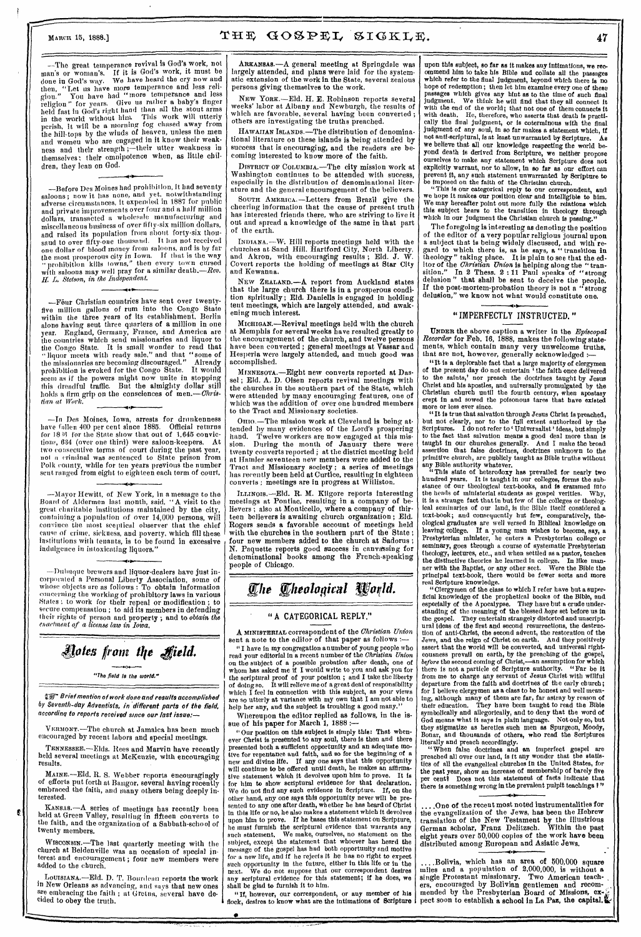$M_A$ arcn 15, 1888.]  $THE \ GOSPEL \ SIGKLE,$   $47$ 

—The great temperance revival is God's work, not man's or woman's. If it is God's work, it must be done in God's way. We have heard the cry now and then, "Let us have more temperance and less religiou." You have had "more temperance and less religion" for years. Give us miller a baby's finger held fast in God's right hand than all the stout arms in the world without him. This work will utterly perish, it will be a morning fog chased away from the hill-tops by the winds of heaven, unless the men and women who are engaged in it know their weakness and their strength ;—their utter weakness in themselves; their omnipotence when, as little children, they lean on God.

—Before Des Moines had prohibition, it bad seventy saloons; now it has none, and yet. notwithstanding adverse circumstances, it expended in 1887 for public and private improvements over four and a half million dollars, transacted a wholesale manufacturing and miscellaneous business of over fifty-six million dollars, and raised its population from about forty-six thousand to over fifty-one thousand. It has not received one dollar of blood money from saloons, and is by far the most prosperous city in Iowa. If that is the way " prohibition kills towns," then every town cursed with saloons may well pray for a similar death.—Rev. *Stetson, in the Independent.* 

—Four Christian countries have sent over twentyfive million gallons of rum into the Congo State within the three years of its establishment, Berlin alone having sent three quarters of a million in one year. England, Germany, France, and America are the countries which send missionaries and liquor to the Congo State. It is small wonder to read that "liquor meets with ready sale," and that "some of the missionaries are becoming discouraged." Already prohibition is evoked for the Congo State. It would seem as if the powers might now unite in stopping this dreadful traffic. But the almighty dollar still holds a firm grip on the consciences of men.- Chris*arm at Work.* 

—In Des Moines, Iowa, arrests for drunkenness have fallen 400 per cent since 1885. Official returns for  $18\,36$  for the State show that out of  $1,645$  convictions, 634 (over one third) were saloon-keepers. At two consecutive terms of court during the past year, not a criminal was sentenced to State prison from Polk county, while for ten years previous the number sent ranged from eight to eighteen each term of court,

•

—Mayor Hewitt, of New York, in a message to the Board of Aldermen last month, said, "A visit to the great charitable institutions maintained by the city, containing a population of over 14,000 persons, will convince the most sceptical observer that the chief cause of crime, sickness, and poverty, which fill these institutions with tenants, is to be found in excessive indulgence in intoxicating liquors."

—Dulatque brewers and liquor-dealers have just incorporated a Personal Liberty Association, some of whose objects are as follows : To obtain information **concerning the** working of prohibitory laws in various States ; to work for their repeal or modification ; to secure compensation ; to aid its members in defending their rights of person and property ; and to *obtain the enactment of a license law in Iowa.* 

# *Aoies from t11e Ifield.*

"The field *is* the world."

EF- Brief mention of work done and results accomplished *6y Seventh-day Adventists, in different* parts of the field, according to reports received since our last issue:-

VERMONT.-The church at Jamaica has been much encouraged by recent labors and special meetings.

TENNESSEE.-Elds. Rees and Marvin have recently held several meetings at McKenzie, with encouraging results.

MAINE.—Eld. R. S. Webber reports encouragingly of efforts put forth at Bangor, several having recently embraced the faith, and many others being deeply interested.

KANSAS.—A series of meetings has recently been held at Green Valley, resulting in fifteen converts to the faith, and the organization of a Sabbath-school of twenty members.

Ę.

WISCONSIN.—The last quarterly meeting with the church at Beldenville was an occasion of special interest and encouragement ; four new members were added to the church.

Louismana.—Eld. D. T. Bourdean reports the work in New Orleans as advancing, and says that new ones are embracing the faith ; at Gretna, several have decided to obey the truth.

ARKANSAS.—A general meeting at Springdale was largely attended, and plans were laid for the systematic extension of the work in the State, several zealous persons giving themselves to the work.

NEW YORK.—Eld. H. E. Robinson reports several weeks' labor at Albany and Newburgh, the results of which are favorable, several having been converted ; others are investigating the truths preached.

HAWAIIAN ISLANDS.—The distribution of denominational literature on these islands is being attended by success that is encouraging, and the readers are becoming interested to know more of the faith.

DISTRICT OF COLUMBIA.—The city mission work at Washington continues to be attended with success, especially in the distribution of denominational literature and the general encouragement of the believers.

SOUTH AMERICA.—Letters from Brazil give the cheering information that the cause of present truth has interested friends there, who are striving to live it out and spread a knowledge of the same in that part of the earth.

INDIANA.—W. Hill reports meetings held with the churches at Sand Hill. Hartford City, North Liberty, and Akron, with encouraging results ; Eld. J. W. Covert reports the holding of meetings at Star City and Kewanna.

NEW ZEALAND.—A report from Auckland states that the large church there is in a prosperous condition spiritually ; Eld. Daniells is engaged in holding tent meetings, which are largely attended, and awakening much interest.

MICRIGAN.—Revival meetings held with the church at Memphis for several weeks have resulted greatly to the encouragement of the church, and twelve persons have been converted ; general meetings at Vassar and Hesperia were largely attended, and much good was accomplished.

MINNESOTA.—Eight new converts reported at Dassel; Eld. A. D. Olsen reports revival meetings with the churches in the southern part of the State, which were attended by many encouraging features, one of which was the addition of over one hundred members to the Tract and Missionary societies.

OHIO. —The mission work at Cleveland is being attended by many evidences of the Lord's prospering hand. Twelve workers are now engaged at this mission. During the month of January there were twenty converts reported ; at the district meeting held at Hamler seventeen new members were added to the Tract and Missionary society ; a series of meetings has recently been held at Curtice, resulting in eighteen converts ; meetings are in progress at Williston.

ILLINOIS.—Eld. R. M. Kilgore reports interesting meetings at Pontiac, resulting in a company of believers ; also at Monticello, where a company of thirteen believers is awaiting church organization ; Eld. Rogers sends *a* favorable account of meetings held with the churches in the southern part of the State ; four new members added to the church at Sadorus ; N. Paquette reports good success in canvassing for denominational books among the French-speaking people of Chicago.

# **The Theological World.**

#### " A CATEGORICAL REPLY."

A MINISTERIAL correspondent of the *Christian Union* sent a note to the editor of that paper as follows :-

"I have in my congregation a number of young people who read your editorial in a recent number of the *Christian Union*  on the subject of a possible probation after death, one of whom has asked me if I would write to you and ask you for the scriptural proof of your position ; and I take the liberty of doing so. It will relieve me of a great deal of responsibility which  $\tilde{\mathbf{I}}$  feel in connection with this subject, as your views are so utterly at variance with my own that I am not able to help her any, and the subject is troubling a good many.

Whereupon the editor replied as follows, in the issue of his paper for March 1, 1888

"Our position on this subject is simply this: That whenever Christ is presented to any soul, there is then and there presented both a sufficient opportunity and an adequate motive for repentance and faith, and so for the beginning of a new and divine life. If any one says that this opportunity will continue to be offered until death, be makes an affirmative statement which it devolves upon him to prove. It is for him to show scriptural evidence for that declaration. We do not find any such evidence in Scripture. If, on the other hand, any one says this opportunity never will be presented to any one after death, whether he has heard of Christ in this life or no, he also makes a statement which it devolves upon him to prove. If be bases this statement on Scripture, he must furnish the scriptural evidence that warrants any such statement. We make, ourselves, no statement on the subject, except the statement that whoever has beard the message of the gospel has had both opportunity and motive for a new life, and if he rejects it he has no right to expect such opportunity in the future, either in this life or in the next. We do not suppose that our correspondent desires any scriptural evidence for this statement; if he does, we shall be glad to furnish it to him.

" If, however, our correspondent, or any member of his flock, desires to know what are **the intimations of Scripture** 

•

**upon this subject,** so **far as it makes any intimations, we recommend him to take his Bible and collate all the passages which refer to the final judgment, beyond which there is no hope** of redemption; **then let** him examine every one of these passages which gives any hint as to the time of **such final judgment.** We think he will find that they all connect it with the end of *the* world; that not one of them connects it with death. He, therefore, who asserts that death is practically the final judgment, or is coterminous with the final judgment of any soul, in so far makes a statement which, if not anti-scriptural, is at least unwarranted by Scripture. As we believe that all our knowledge respecting the world beyond death is derived from Scripture, we neither propose ourselves to make any statement which Scripture does not explicitly warrant, nor to allow, in so far as our effort can prevent **it, any such statement unwarranted by Scripture to**  be imposed on the faith of the Christian church.

"This is our categorical reply to our **correspondent., and we hope it makes our position clear and intelligible to him. We may hereafter point out more fully the relations which this subject bears to the transition in theology through which in our judgment the Christian church is** passing."

The foregoing is interesting as denoting the position of the editor of a very popular religious journal upon a subject that is being widely discussed, and with regard to which there is, as he says, a " transition in theology" taking place. It is plain to see that the editor of **the** *Christian Union* is helping along the " transition." In 2 Thess. 2:11 Paul speaks of "strong delusion" that shall be sent to deceive the people. If the post-mortem-probation theory is not a "strong delusion," we know not what would constitute one.

#### "IMPERFECTLY INSTRUCTED."

UNDER the above caption a writer in the *Episcopal Recorder* for Feb. 16, 1888, makes the following statements, which contain many very unwelcome truths, that are not, however, generally acknowledged :-

"It is a deplorable fact that a large majority of clergymen of the present *day* do not entertain 'the faith once delivered to the saints,' nor preach the doctrines taught by Jesus Christ and his apostles, and universally promulgated by the Christian church until the fourth century, when apostasy crept **in and sowed the poisonous tares that have existed more** or less ever since.

"It is true that salvation through Jesus Christ is preached, but not clearly, nor to the full extent authorized by the Scriptures. I do not refer to ' Universalist' ideas, but simply to the fact that salvation means a good deal more than is taught in our churches generally. And I make the broad assertion that false doctrines, doctrines unknown to the primitive church, are publicly taught as Bible truths without any Bible authority whatever.

"This state of heterodoxy has prevailed for nearly two **hundred years. It is taught in our colleges, forms the sub-stance** of our theological text-books, **and is crammed into**  the heads of ministerial students as gospel verities. Why, it is a strange fact that in but few of the colleges or theological seminaries of our land, is the Bible itself considered a text-book; and consequently but few, comparatively, theological graduates are well versed in Biblical knowledge on leaving college. If a young man wishes to become, say, a Presbyterian minister, he enters a Presbyterian college or seminary, goes through a course of systematic Presbyterian theology, lectures, etc., and when settled as a pastor, teaches the distinctive theories he learned in college. In like manner with the Baptist, or any other sect. Were the Bible the principal text-book, there would be fewer sects and more real Scripture knowledge.

"Clergymen of the class to which I refer have but a superficial knowledge of the prophetical books of the Bible, and especially of the Apocalypse. They have but a crude understanding of the meaning of the blessed *hope* set before us in the gospel. They entertain strangely distorted and unscriptural ideas of the **first and second resurrections, the destruction of anti-Christ, the second advent, the restoration of the Jews, and the reign of Christ on earth. And they positively assert that the world will be converted, and universal righteousness prevail on earth, by the preaching of the gospel,**  *before* **the second coming of Christ,—an assumption for which there is not a particle of Scripture authority. "Far be it from me to charge any servant of Jesus Christ with willful departure from the faith and doctrines of the early church; for I believe clergymen as a class to be honest and well meaning, although many of them are far, far astray by reason of their education. They have been taught to read the Bible symbolically and allegorically, and to deny that the** word of God means what it says in plain language. Not only so, but they stigmatize as heretics such men as Spurgeon, Moody, Bonar, and thousands of others, who read the Scriptures

literally and preach accordingly. " When false **doctrines and an imperfect gospel are preached all over our land, is it any wonder that the statistics of all the evangelical churches in the United States, for the past year, show an increase of membership of barely five**  per centi Does not this statement of facts indicate that there is something wrong in the prevalent pulpit teachings ?"

..One of the recent most noted instrumentalities for the evangelization of the Jews, has been the Hebrew translation of the New Testament by the illustrious German scholar, Franz Delitzsch. Within the past eight years over 50,000 copies of the work have been distributed among European and Asiatic Jews.

....Bolivia, which has an area of 500,000 square miles and a population of 2,000,000, is without a single Protestant missionary. Two American teachers, encouraged by Bolivian gentlemen and recommended by the Presbyterian Board of Missions,  $ex_{\hat{i}}$ . pect soon to establish a school in La Paz, the capital.